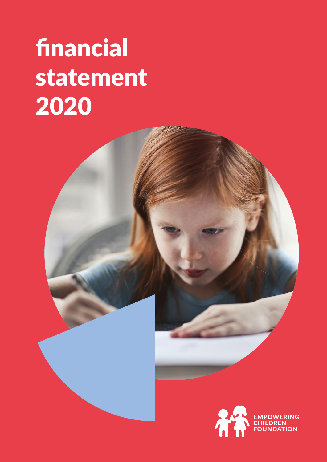# financial statement 2020

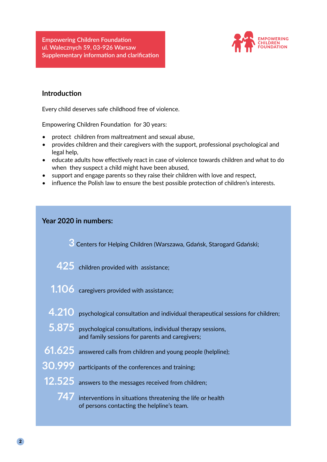**Empowering Children Foundation ul. Walecznych 59, 03-926 Warsaw Supplementary information and clarification**



## **Introduction**

Every child deserves safe childhood free of violence.

Empowering Children Foundation for 30 years:

- protect children from maltreatment and sexual abuse,
- provides children and their caregivers with the support, professional psychological and legal help,
- educate adults how effectively react in case of violence towards children and what to do when they suspect a child might have been abused,
- support and engage parents so they raise their children with love and respect,
- influence the Polish law to ensure the best possible protection of children's interests.

| Year 2020 in numbers:                                                                                              |
|--------------------------------------------------------------------------------------------------------------------|
| 3 Centers for Helping Children (Warszawa, Gdańsk, Starogard Gdański;                                               |
| 425 children provided with assistance;                                                                             |
| $1.106$ caregivers provided with assistance;                                                                       |
| 4.210 psychological consultation and individual therapeutical sessions for children;                               |
| 5.875 psychological consultations, individual therapy sessions,<br>and family sessions for parents and caregivers; |
| 61.625 answered calls from children and young people (helpline);                                                   |
| 30.999 participants of the conferences and training;                                                               |
| 12.525 answers to the messages received from children;                                                             |
| 747 interventions in situations threatening the life or health<br>of persons contacting the helpline's team.       |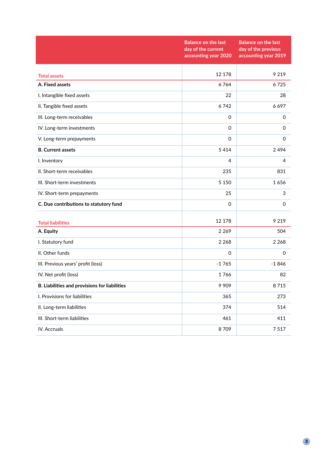|                                               | <b>Balance on the last</b><br>day of the current<br>accounting year 2020 | <b>Balance on the last</b><br>day of the previous<br>accounting year 2019 |
|-----------------------------------------------|--------------------------------------------------------------------------|---------------------------------------------------------------------------|
|                                               | 12 178                                                                   | 9 2 1 9                                                                   |
| <b>Total assets</b>                           |                                                                          |                                                                           |
| A. Fixed assets                               | 6764                                                                     | 6725                                                                      |
| I. Intangible fixed assets                    | 22                                                                       | 28                                                                        |
| II. Tangible fixed assets                     | 6742                                                                     | 6697                                                                      |
| III. Long-term receivables                    | $\mathsf{O}\xspace$                                                      | 0                                                                         |
| IV. Long-term investments                     | $\Omega$                                                                 | 0                                                                         |
| V. Long-term prepayments                      | 0                                                                        | 0                                                                         |
| <b>B.</b> Current assets                      | 5414                                                                     | 2494                                                                      |
| I. Inventory                                  | 4                                                                        | 4                                                                         |
| II. Short-term receivables                    | 235                                                                      | 831                                                                       |
| III. Short-term investments                   | 5 1 5 0                                                                  | 1656                                                                      |
| IV. Short-term prepayments                    | 25                                                                       | 3                                                                         |
| C. Due contributions to statutory fund        | $\Omega$                                                                 | 0                                                                         |
| <b>Total liabilities</b>                      | 12 178                                                                   | 9 2 1 9                                                                   |
| A. Equity                                     | 2 2 6 9                                                                  | 504                                                                       |
| I. Statutory fund                             | 2 2 6 8                                                                  | 2 2 6 8                                                                   |
| II. Other funds                               | $\mathsf{O}\xspace$                                                      | 0                                                                         |
| III. Previous years' profit (loss)            | $-1765$                                                                  | $-1846$                                                                   |
| IV. Net profit (loss)                         | 1766                                                                     | 82                                                                        |
| B. Liabilities and provisions for liabilities | 9909                                                                     | 8715                                                                      |
| I. Provisions for liabilities                 | 365                                                                      | 273                                                                       |
| II. Long-term liabilities                     | 374                                                                      | 514                                                                       |
| III. Short-term liabilities                   | 461                                                                      | 411                                                                       |
| IV. Accruals                                  | 8709                                                                     | 7517                                                                      |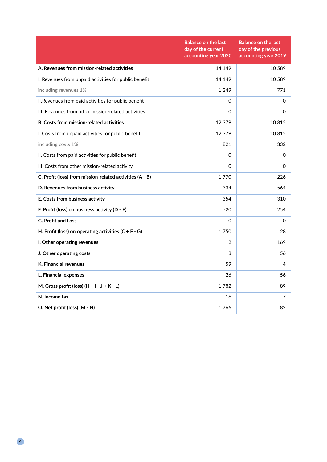|                                                          | <b>Balance on the last</b><br>day of the current<br>accounting year 2020 | <b>Balance on the last</b><br>day of the previous<br>accounting year 2019 |
|----------------------------------------------------------|--------------------------------------------------------------------------|---------------------------------------------------------------------------|
| A. Revenues from mission-related activities              | 14 14 9                                                                  | 10 589                                                                    |
| I. Revenues from unpaid activities for public benefit    | 14 14 9                                                                  | 10 589                                                                    |
| including revenues 1%                                    | 1 2 4 9                                                                  | 771                                                                       |
| II. Revenues from paid activities for public benefit     | $\Omega$                                                                 | $\Omega$                                                                  |
| III. Revenues from other mission-related activities      | $\Omega$                                                                 | 0                                                                         |
| <b>B. Costs from mission-related activities</b>          | 12 379                                                                   | 10815                                                                     |
| I. Costs from unpaid activities for public benefit       | 12 379                                                                   | 10815                                                                     |
| including costs 1%                                       | 821                                                                      | 332                                                                       |
| II. Costs from paid activities for public benefit        | $\Omega$                                                                 | 0                                                                         |
| III. Costs from other mission-related activity           | $\Omega$                                                                 | 0                                                                         |
| C. Profit (loss) from mission-related activities (A - B) | 1770                                                                     | $-226$                                                                    |
| D. Revenues from business activity                       | 334                                                                      | 564                                                                       |
| E. Costs from business activity                          | 354                                                                      | 310                                                                       |
| F. Profit (loss) on business activity (D - E)            | $-20$                                                                    | 254                                                                       |
| <b>G. Profit and Loss</b>                                | 0                                                                        | 0                                                                         |
| H. Profit (loss) on operating activities $(C + F - G)$   | 1750                                                                     | 28                                                                        |
| I. Other operating revenues                              | $\overline{2}$                                                           | 169                                                                       |
| J. Other operating costs                                 | 3                                                                        | 56                                                                        |
| <b>K. Financial revenues</b>                             | 59                                                                       | 4                                                                         |
| L. Financial expenses                                    | 26                                                                       | 56                                                                        |
| M. Gross profit (loss) $(H + I - J + K - L)$             | 1782                                                                     | 89                                                                        |
| N. Income tax                                            | 16                                                                       | 7                                                                         |
| O. Net profit (loss) (M - N)                             | 1766                                                                     | 82                                                                        |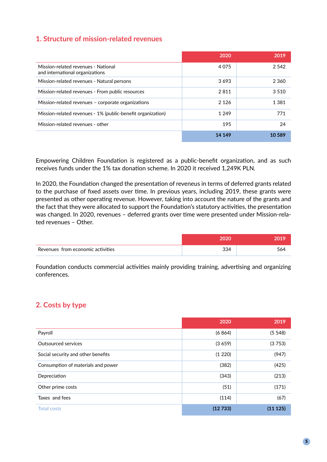## **1. Structure of mission-related revenues**

|                                                                        | 2020    | 2019    |
|------------------------------------------------------------------------|---------|---------|
| Mission-related revenues - National<br>and international organizations | 4 0 7 5 | 2.542   |
| Mission-related revenues - Natural persons                             | 3693    | 2 3 6 0 |
| Mission-related revenues - From public resources                       | 2811    | 3510    |
| Mission-related revenues – corporate organizations                     | 2 1 2 6 | 1 3 8 1 |
| Mission-related revenues - 1% (public-benefit organization)            | 1 2 4 9 | 771     |
| Mission-related revenues - other                                       | 195     | 24      |
|                                                                        | 14 14 9 | 10589   |

Empowering Children Foundation is registered as a public-benefit organization, and as such receives funds under the 1% tax donation scheme. In 2020 it received 1,249K PLN.

In 2020, the Foundation changed the presentation of reveneus in terms of deferred grants related to the purchase of fixed assets over time. In previous years, including 2019, these grants were presented as other operating revenue. However, taking into account the nature of the grants and the fact that they were allocated to support the Foundation's statutory activities, the presentation was changed. In 2020, revenues – deferred grants over time were presented under Mission-related revenues – Other.

| Revenues from economic activities | 334 | 564 |
|-----------------------------------|-----|-----|

Foundation conducts commercial activities mainly providing training, advertising and organizing conferences.

#### **2. Costs by type**

|                                    | 2020    | 2019    |
|------------------------------------|---------|---------|
| Payroll                            | (6864)  | (5548)  |
| Outsourced services                | (3659)  | (3753)  |
| Social security and other benefits | (1 220) | (947)   |
| Consumption of materials and power | (382)   | (425)   |
| Depreciation                       | (343)   | (213)   |
| Other prime costs                  | (51)    | (171)   |
| Taxes and fees                     | (114)   | (67)    |
| <b>Total costs</b>                 | (12733) | (11125) |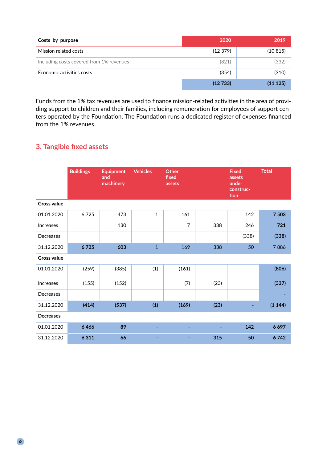| Costs by purpose                         | 2020    | 2019    |
|------------------------------------------|---------|---------|
| Mission related costs                    | (12379) | (10815) |
| Including costs covered from 1% revenues | (821)   | (332)   |
| Economic activities costs                | (354)   | (310)   |
|                                          | (12733) | (11125) |

Funds from the 1% tax revenues are used to finance mission-related activities in the area of providing support to children and their families, including remuneration for employees of support centers operated by the Foundation. The Foundation runs a dedicated register of expenses financed from the 1% revenues.

# **3. Tangible fixed assets**

|                    | <b>Buildings</b> | <b>Equipment</b><br>and<br>machinery | <b>Vehicles</b> | <b>Other</b><br>fixed<br>assets |      | <b>Fixed</b><br>assets<br>under<br>construc-<br>tion | <b>Total</b> |
|--------------------|------------------|--------------------------------------|-----------------|---------------------------------|------|------------------------------------------------------|--------------|
| <b>Gross value</b> |                  |                                      |                 |                                 |      |                                                      |              |
| 01.01.2020         | 6725             | 473                                  | $\mathbf{1}$    | 161                             |      | 142                                                  | 7503         |
| <b>Increases</b>   |                  | 130                                  |                 | $\overline{7}$                  | 338  | 246                                                  | 721          |
| Decreases          |                  |                                      |                 |                                 |      | (338)                                                | (338)        |
| 31.12.2020         | 6725             | 603                                  | $\mathbf{1}$    | 169                             | 338  | 50                                                   | 7886         |
| <b>Gross value</b> |                  |                                      |                 |                                 |      |                                                      |              |
| 01.01.2020         | (259)            | (385)                                | (1)             | (161)                           |      |                                                      | (806)        |
| <b>Increases</b>   | (155)            | (152)                                |                 | (7)                             | (23) |                                                      | (337)        |
| Decreases          |                  |                                      |                 |                                 |      |                                                      |              |
| 31.12.2020         | (414)            | (537)                                | (1)             | (169)                           | (23) |                                                      | (1144)       |
| <b>Decreases</b>   |                  |                                      |                 |                                 |      |                                                      |              |
| 01.01.2020         | 6466             | 89                                   | ٠               | ۰                               |      | 142                                                  | 6697         |
| 31.12.2020         | 6 3 1 1          | 66                                   |                 |                                 | 315  | 50                                                   | 6742         |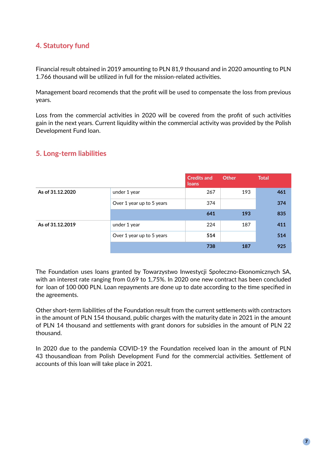# **4. Statutory fund**

Financial result obtained in 2019 amounting to PLN 81,9 thousand and in 2020 amounting to PLN 1.766 thousand will be utilized in full for the mission-related activities.

Management board recomends that the profit will be used to compensate the loss from previous years.

Loss from the commercial activities in 2020 will be covered from the profit of such activities gain in the next years. Current liquidity within the commercial activity was provided by the Polish Development Fund loan.

|                  |                           | <b>Credits and</b><br>loans | Other | <b>Total</b> |
|------------------|---------------------------|-----------------------------|-------|--------------|
| As of 31.12.2020 | under 1 year              | 267                         | 193   | 461          |
|                  | Over 1 year up to 5 years | 374                         |       | 374          |
|                  |                           | 641                         | 193   | 835          |
| As of 31.12.2019 | under 1 year              | 224                         | 187   | 411          |
|                  | Over 1 year up to 5 years | 514                         |       | 514          |
|                  |                           | 738                         | 187   | 925          |

#### **5. Long-term liabilities**

The Foundation uses loans granted by Towarzystwo Inwestycji Społeczno-Ekonomicznych SA, with an interest rate ranging from 0,69 to 1,75%. In 2020 one new contract has been concluded for loan of 100 000 PLN. Loan repayments are done up to date according to the time specified in the agreements.

Other short-term liabilities of the Foundation result from the current settlements with contractors in the amount of PLN 154 thousand, public charges with the maturity date in 2021 in the amount of PLN 14 thousand and settlements with grant donors for subsidies in the amount of PLN 22 thousand.

In 2020 due to the pandemia COVID-19 the Foundation received loan in the amount of PLN 43 thousandloan from Polish Development Fund for the commercial activities. Settlement of accounts of this loan will take place in 2021.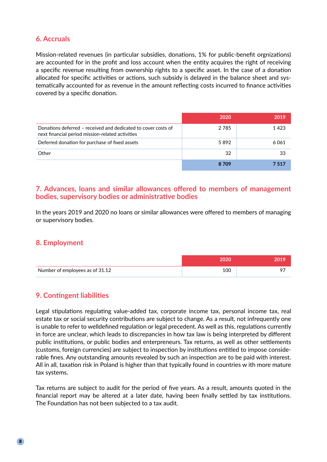# **6. Accruals**

Mission-related revenues (in particular subsidies, donations, 1% for public-benefit orgnizations) are accounted for in the profit and loss account when the entity acquires the right of receiving a specific revenue resulting from ownership rights to a specific asset. In the case of a donation allocated for specific activities or actions, such subsidy is delayed in the balance sheet and systematically accounted for as revenue in the amount reflecting costs incurred to finance activities covered by a specific donation.

|                                                                                                                   | 2020 | 2019  |
|-------------------------------------------------------------------------------------------------------------------|------|-------|
| Donations deferred - received and dedicated to cover costs of<br>next financial period mission-related activities | 2785 | 1423  |
| Deferred donation for purchase of fixed assets                                                                    | 5892 | 6061  |
| Other                                                                                                             | 32   | 33    |
|                                                                                                                   | 8709 | 7.517 |

#### **7. Advances, loans and similar allowances offered to members of management bodies, supervisory bodies or administrative bodies**

In the years 2019 and 2020 no loans or similar allowances were offered to members of managing or supervisory bodies.

#### **8. Employment**

| Number of employees as of 31.12 | 100 |  |
|---------------------------------|-----|--|

# **9. Contingent liabilities**

Legal stipulations regulating value-added tax, corporate income tax, personal income tax, real estate tax or social security contributions are subject to change. As a result, not infrequently one is unable to refer to welldefined regulation or legal precedent. As well as this, regulations currently in force are unclear, which leads to discrepancies in how tax law is being interpreted by different public institutions, or public bodies and enterpreneurs. Tax returns, as well as other settlements (customs, foreign currencies) are subject to inspection by institutions entitled to impose considerable fines. Any outstanding amounts revealed by such an inspection are to be paid with interest. All in all, taxation risk in Poland is higher than that typically found in countries w ith more mature tax systems.

Tax returns are subject to audit for the period of five years. As a result, amounts quoted in the financial report may be altered at a later date, having been finally settled by tax institutions. The Foundation has not been subjected to a tax audit.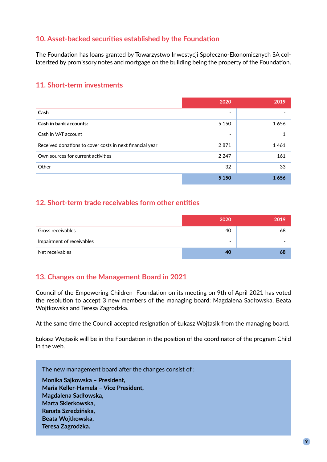# **10. Asset-backed securities established by the Foundation**

The Foundation has loans granted by Towarzystwo Inwestycji Społeczno-Ekonomicznych SA collaterized by promissory notes and mortgage on the building being the property of the Foundation.

## **11. Short-term investments**

|                                                          | 2020    | 2019 |
|----------------------------------------------------------|---------|------|
| Cash                                                     |         |      |
| <b>Cash in bank accounts:</b>                            | 5 1 5 0 | 1656 |
| Cash in VAT account                                      |         | 1    |
| Received donations to cover costs in next financial year | 2871    | 1461 |
| Own sources for current activities                       | 2 2 4 7 | 161  |
| Other                                                    | 32      | 33   |
|                                                          | 5 1 5 0 | 1656 |

#### **12. Short-term trade receivables form other entities**

|                           | 2020                     | 2019 |
|---------------------------|--------------------------|------|
| Gross receivables         | 40                       | 68   |
| Impairment of receivables | $\overline{\phantom{0}}$ |      |
| Net receivables           | 40                       | 68   |

# **13. Changes on the Management Board in 2021**

Council of the Empowering Children Foundation on its meeting on 9th of April 2021 has voted the resolution to accept 3 new members of the managing board: Magdalena Sadłowska, Beata Wojtkowska and Teresa Zagrodzka.

At the same time the Council accepted resignation of Łukasz Wojtasik from the managing board.

Łukasz Wojtasik will be in the Foundation in the position of the coordinator of the program Child in the web.

The new management board after the changes consist of :

**Monika Sajkowska – President, Maria Keller-Hamela – Vice President, Magdalena Sadłowska, Marta Skierkowska, Renata Szredzińska, Beata Wojtkowska, Teresa Zagrodzka.**